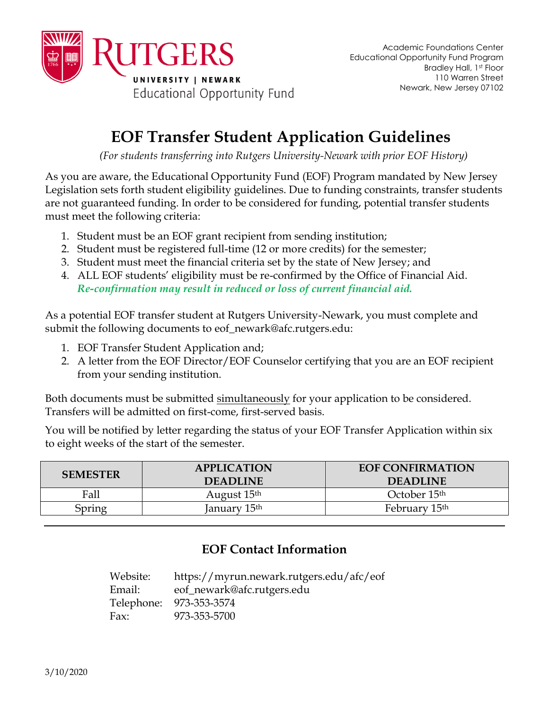

## **EOF Transfer Student Application Guidelines**

*(For students transferring into Rutgers University-Newark with prior EOF History)*

As you are aware, the Educational Opportunity Fund (EOF) Program mandated by New Jersey Legislation sets forth student eligibility guidelines. Due to funding constraints, transfer students are not guaranteed funding. In order to be considered for funding, potential transfer students must meet the following criteria:

- 1. Student must be an EOF grant recipient from sending institution;
- 2. Student must be registered full-time (12 or more credits) for the semester;
- 3. Student must meet the financial criteria set by the state of New Jersey; and
- 4. ALL EOF students' eligibility must be re-confirmed by the Office of Financial Aid. *Re-confirmation may result in reduced or loss of current financial aid.*

As a potential EOF transfer student at Rutgers University-Newark, you must complete and submit the following documents to eof\_newark@afc.rutgers.edu:

- 1. EOF Transfer Student Application and;
- 2. A letter from the EOF Director/EOF Counselor certifying that you are an EOF recipient from your sending institution.

Both documents must be submitted simultaneously for your application to be considered. Transfers will be admitted on first-come, first-served basis.

You will be notified by letter regarding the status of your EOF Transfer Application within six to eight weeks of the start of the semester.

| <b>SEMESTER</b> | <b>APPLICATION</b><br><b>DEADLINE</b> | <b>EOF CONFIRMATION</b><br><b>DEADLINE</b> |  |  |
|-----------------|---------------------------------------|--------------------------------------------|--|--|
| Fall            | August 15 <sup>th</sup>               | October 15 <sup>th</sup>                   |  |  |
| Spring          | lanuary 15 <sup>th</sup>              | February 15 <sup>th</sup>                  |  |  |

## **EOF Contact Information**

Website: https://myrun.newark.rutgers.edu/afc/eof Email: eof\_newark@afc.rutgers.edu Telephone: 973-353-3574 Fax: 973-353-5700